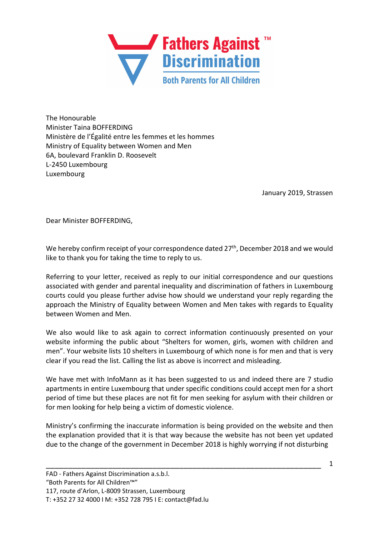

The Honourable Minister Taina BOFFERDING Ministère de l'Égalité entre les femmes et les hommes Ministry of Equality between Women and Men 6A, boulevard Franklin D. Roosevelt L-2450 Luxembourg Luxembourg

January 2019, Strassen

Dear Minister BOFFERDING,

We hereby confirm receipt of your correspondence dated 27<sup>th</sup>, December 2018 and we would like to thank you for taking the time to reply to us.

Referring to your letter, received as reply to our initial correspondence and our questions associated with gender and parental inequality and discrimination of fathers in Luxembourg courts could you please further advise how should we understand your reply regarding the approach the Ministry of Equality between Women and Men takes with regards to Equality between Women and Men.

We also would like to ask again to correct information continuously presented on your website informing the public about "Shelters for women, girls, women with children and men". Your website lists 10 shelters in Luxembourg of which none is for men and that is very clear if you read the list. Calling the list as above is incorrect and misleading.

We have met with InfoMann as it has been suggested to us and indeed there are 7 studio apartments in entire Luxembourg that under specific conditions could accept men for a short period of time but these places are not fit for men seeking for asylum with their children or for men looking for help being a victim of domestic violence.

Ministry's confirming the inaccurate information is being provided on the website and then the explanation provided that it is that way because the website has not been yet updated due to the change of the government in December 2018 is highly worrying if not disturbing

\_\_\_\_\_\_\_\_\_\_\_\_\_\_\_\_\_\_\_\_\_\_\_\_\_\_\_\_\_\_\_\_\_\_\_\_\_\_\_\_\_\_\_\_\_\_\_\_\_\_\_\_\_\_\_\_\_\_\_\_\_\_